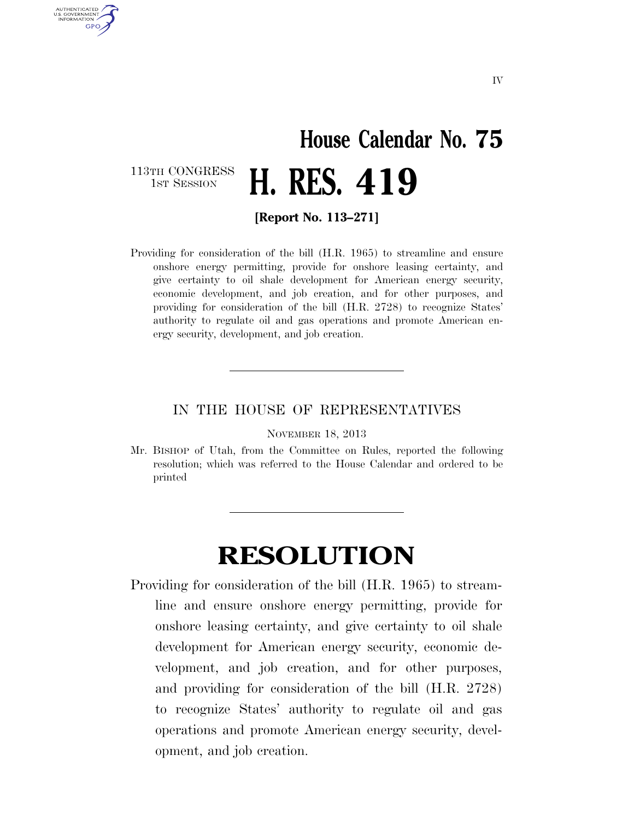## **House Calendar No. 75**  H. RES. 419

113TH CONGRESS<br>1st Session

AUTHENTICATED U.S. GOVERNMENT **GPO** 

**[Report No. 113–271]** 

Providing for consideration of the bill (H.R. 1965) to streamline and ensure onshore energy permitting, provide for onshore leasing certainty, and give certainty to oil shale development for American energy security, economic development, and job creation, and for other purposes, and providing for consideration of the bill (H.R. 2728) to recognize States' authority to regulate oil and gas operations and promote American energy security, development, and job creation.

## IN THE HOUSE OF REPRESENTATIVES

NOVEMBER 18, 2013

Mr. BISHOP of Utah, from the Committee on Rules, reported the following resolution; which was referred to the House Calendar and ordered to be printed

## **RESOLUTION**

Providing for consideration of the bill (H.R. 1965) to streamline and ensure onshore energy permitting, provide for onshore leasing certainty, and give certainty to oil shale development for American energy security, economic development, and job creation, and for other purposes, and providing for consideration of the bill (H.R. 2728) to recognize States' authority to regulate oil and gas operations and promote American energy security, development, and job creation.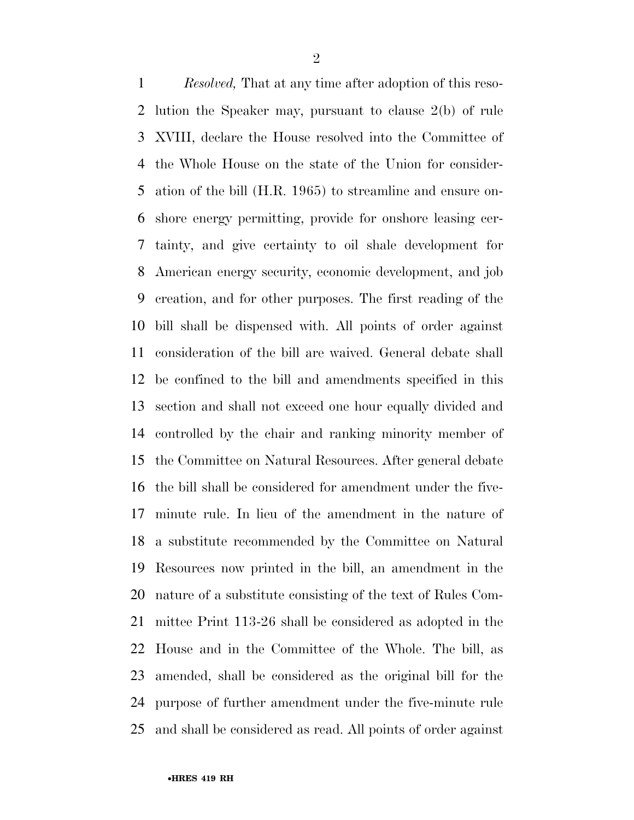*Resolved,* That at any time after adoption of this reso- lution the Speaker may, pursuant to clause 2(b) of rule XVIII, declare the House resolved into the Committee of the Whole House on the state of the Union for consider- ation of the bill (H.R. 1965) to streamline and ensure on- shore energy permitting, provide for onshore leasing cer- tainty, and give certainty to oil shale development for American energy security, economic development, and job creation, and for other purposes. The first reading of the bill shall be dispensed with. All points of order against consideration of the bill are waived. General debate shall be confined to the bill and amendments specified in this section and shall not exceed one hour equally divided and controlled by the chair and ranking minority member of the Committee on Natural Resources. After general debate the bill shall be considered for amendment under the five- minute rule. In lieu of the amendment in the nature of a substitute recommended by the Committee on Natural Resources now printed in the bill, an amendment in the nature of a substitute consisting of the text of Rules Com- mittee Print 113-26 shall be considered as adopted in the House and in the Committee of the Whole. The bill, as amended, shall be considered as the original bill for the purpose of further amendment under the five-minute rule and shall be considered as read. All points of order against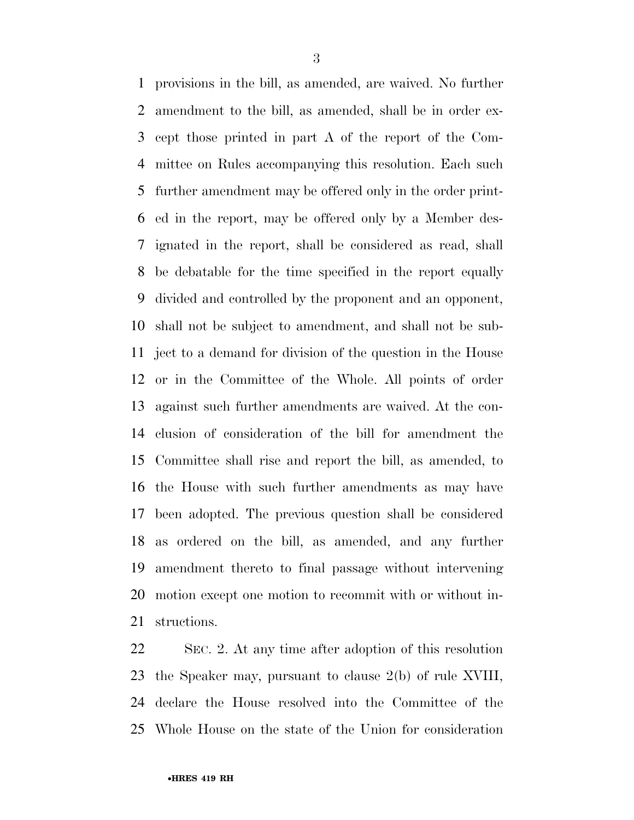provisions in the bill, as amended, are waived. No further amendment to the bill, as amended, shall be in order ex- cept those printed in part A of the report of the Com- mittee on Rules accompanying this resolution. Each such further amendment may be offered only in the order print- ed in the report, may be offered only by a Member des- ignated in the report, shall be considered as read, shall be debatable for the time specified in the report equally divided and controlled by the proponent and an opponent, shall not be subject to amendment, and shall not be sub- ject to a demand for division of the question in the House or in the Committee of the Whole. All points of order against such further amendments are waived. At the con- clusion of consideration of the bill for amendment the Committee shall rise and report the bill, as amended, to the House with such further amendments as may have been adopted. The previous question shall be considered as ordered on the bill, as amended, and any further amendment thereto to final passage without intervening motion except one motion to recommit with or without in-structions.

 SEC. 2. At any time after adoption of this resolution the Speaker may, pursuant to clause 2(b) of rule XVIII, declare the House resolved into the Committee of the Whole House on the state of the Union for consideration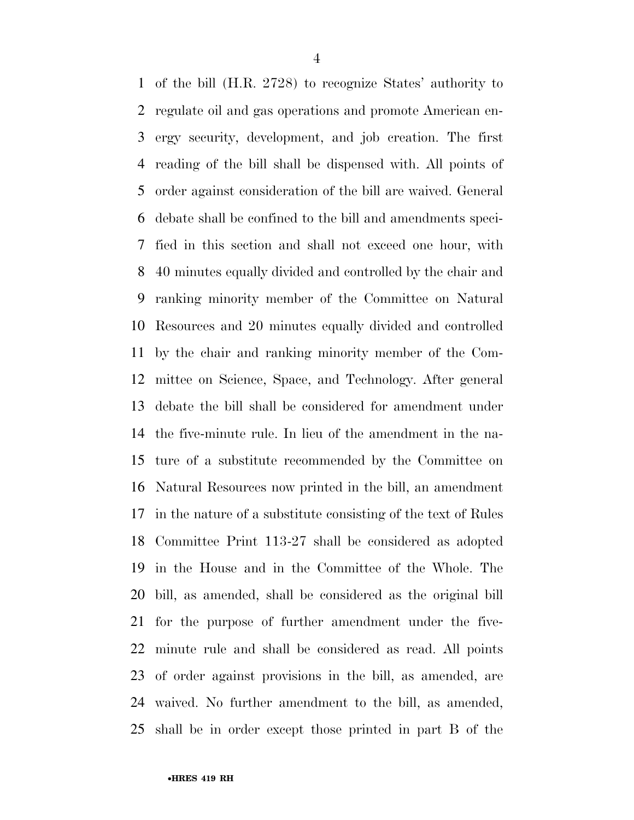of the bill (H.R. 2728) to recognize States' authority to regulate oil and gas operations and promote American en- ergy security, development, and job creation. The first reading of the bill shall be dispensed with. All points of order against consideration of the bill are waived. General debate shall be confined to the bill and amendments speci- fied in this section and shall not exceed one hour, with 40 minutes equally divided and controlled by the chair and ranking minority member of the Committee on Natural Resources and 20 minutes equally divided and controlled by the chair and ranking minority member of the Com- mittee on Science, Space, and Technology. After general debate the bill shall be considered for amendment under the five-minute rule. In lieu of the amendment in the na- ture of a substitute recommended by the Committee on Natural Resources now printed in the bill, an amendment in the nature of a substitute consisting of the text of Rules Committee Print 113-27 shall be considered as adopted in the House and in the Committee of the Whole. The bill, as amended, shall be considered as the original bill for the purpose of further amendment under the five- minute rule and shall be considered as read. All points of order against provisions in the bill, as amended, are waived. No further amendment to the bill, as amended, shall be in order except those printed in part B of the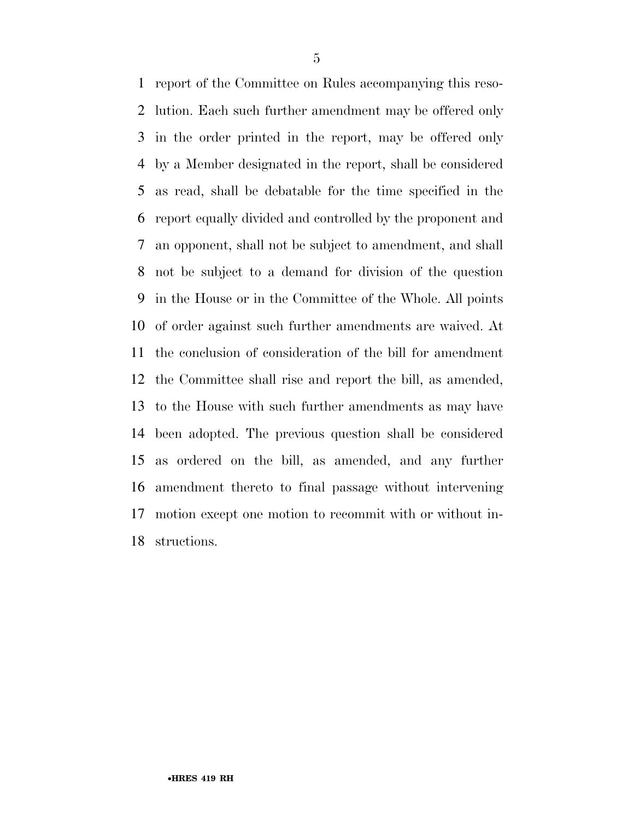report of the Committee on Rules accompanying this reso- lution. Each such further amendment may be offered only in the order printed in the report, may be offered only by a Member designated in the report, shall be considered as read, shall be debatable for the time specified in the report equally divided and controlled by the proponent and an opponent, shall not be subject to amendment, and shall not be subject to a demand for division of the question in the House or in the Committee of the Whole. All points of order against such further amendments are waived. At the conclusion of consideration of the bill for amendment the Committee shall rise and report the bill, as amended, to the House with such further amendments as may have been adopted. The previous question shall be considered as ordered on the bill, as amended, and any further amendment thereto to final passage without intervening motion except one motion to recommit with or without in-structions.